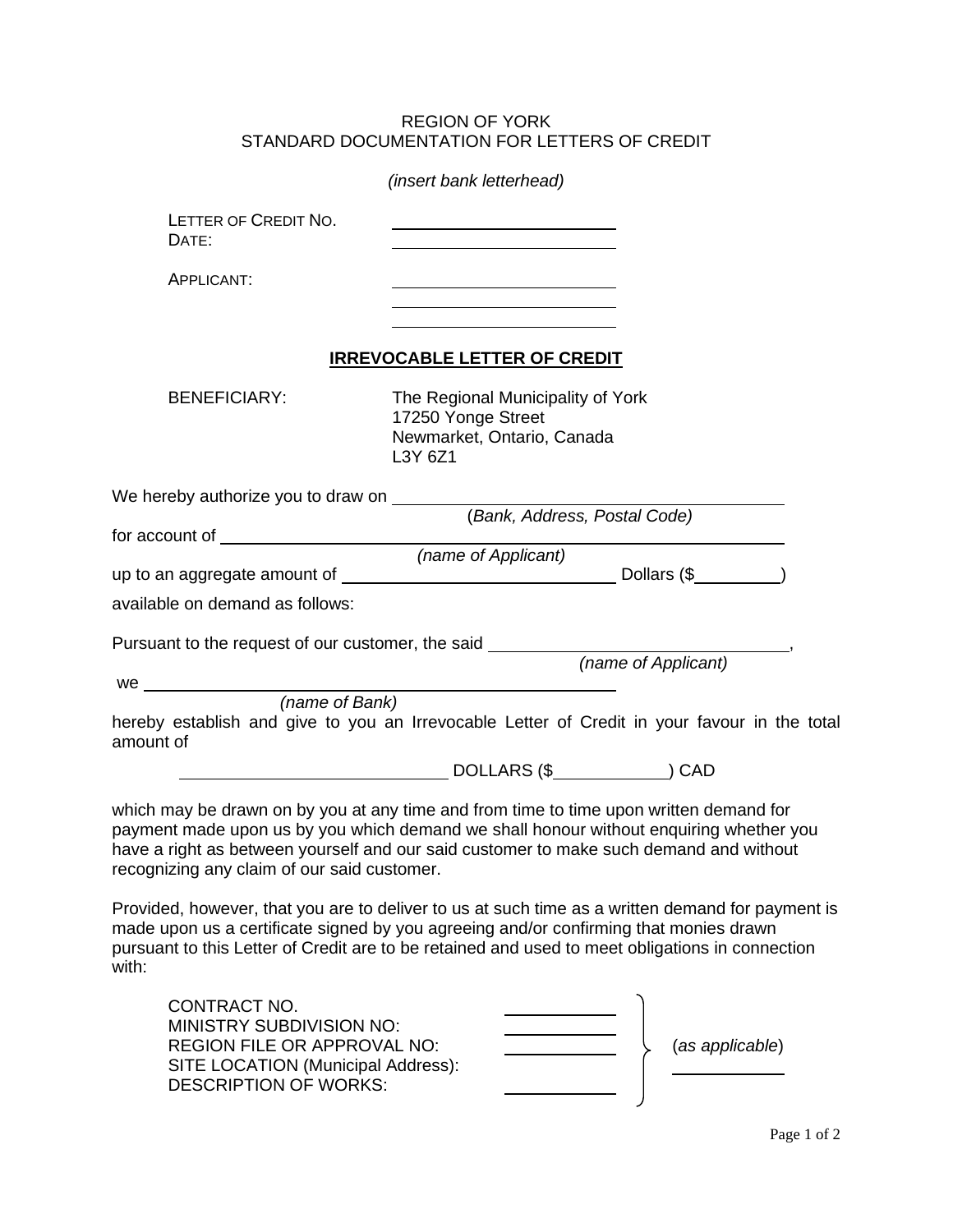## STANDARD DOCUMENTATION FOR LETTERS OF CREDIT REGION OF YORK

|                                                                                  | (insert bank letterhead)                                                                         |  |  |
|----------------------------------------------------------------------------------|--------------------------------------------------------------------------------------------------|--|--|
| LETTER OF CREDIT NO.<br>DATE:                                                    |                                                                                                  |  |  |
| APPLICANT:                                                                       |                                                                                                  |  |  |
|                                                                                  | <b>IRREVOCABLE LETTER OF CREDIT</b>                                                              |  |  |
| <b>BENEFICIARY:</b>                                                              | The Regional Municipality of York<br>17250 Yonge Street<br>Newmarket, Ontario, Canada<br>L3Y 6Z1 |  |  |
|                                                                                  |                                                                                                  |  |  |
|                                                                                  |                                                                                                  |  |  |
|                                                                                  | (name of Applicant)                                                                              |  |  |
|                                                                                  |                                                                                                  |  |  |
| available on demand as follows:                                                  |                                                                                                  |  |  |
| Pursuant to the request of our customer, the said ______________________________ | (name of Applicant)                                                                              |  |  |
|                                                                                  |                                                                                                  |  |  |
|                                                                                  |                                                                                                  |  |  |
| amount of                                                                        | hereby establish and give to you an Irrevocable Letter of Credit in your favour in the total     |  |  |
|                                                                                  |                                                                                                  |  |  |
|                                                                                  | which may be drawn on by you at any time and from time to time upon written demand for           |  |  |

 have a right as between yourself and our said customer to make such demand and without recognizing any claim of our said customer. which may be drawn on by you at any time and from time to time upon written demand for payment made upon us by you which demand we shall honour without enquiring whether you

 Provided, however, that you are to deliver to us at such time as a written demand for payment is made upon us a certificate signed by you agreeing and/or confirming that monies drawn pursuant to this Letter of Credit are to be retained and used to meet obligations in connection with:

| CONTRACT NO.<br>MINISTRY SUBDIVISION NO: |  |                 |
|------------------------------------------|--|-----------------|
| REGION FILE OR APPROVAL NO:              |  | (as applicable) |
| SITE LOCATION (Municipal Address):       |  |                 |
| <b>DESCRIPTION OF WORKS:</b>             |  |                 |
|                                          |  |                 |